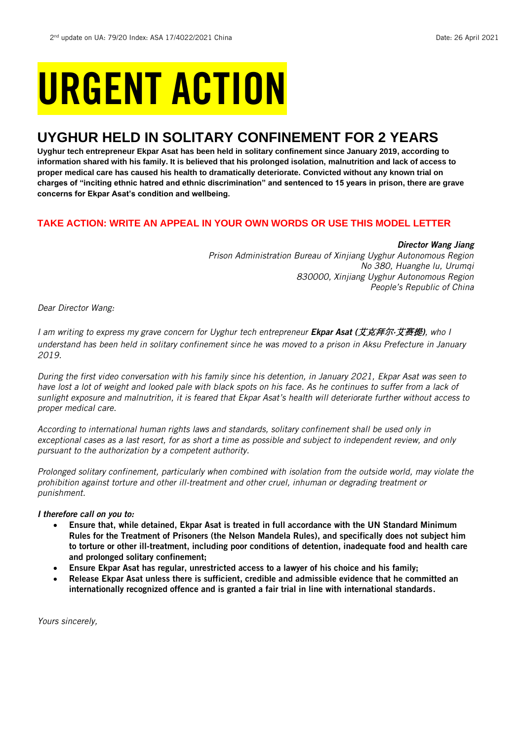# URGENT ACTION

## **UYGHUR HELD IN SOLITARY CONFINEMENT FOR 2 YEARS**

**Uyghur tech entrepreneur Ekpar Asat has been held in solitary confinement since January 2019, according to information shared with his family. It is believed that his prolonged isolation, malnutrition and lack of access to proper medical care has caused his health to dramatically deteriorate. Convicted without any known trial on charges of "inciting ethnic hatred and ethnic discrimination" and sentenced to 15 years in prison, there are grave concerns for Ekpar Asat's condition and wellbeing.**

## **TAKE ACTION: WRITE AN APPEAL IN YOUR OWN WORDS OR USE THIS MODEL LETTER**

*Director Wang Jiang*

*Prison Administration Bureau of Xinjiang Uyghur Autonomous Region No 380, Huanghe lu, Urumqi 830000, Xinjiang Uyghur Autonomous Region People's Republic of China*

*Dear Director Wang:*

*I am writing to express my grave concern for Uyghur tech entrepreneur Ekpar Asat (*艾克拜**尔***·*艾**赛**提*), who I understand has been held in solitary confinement since he was moved to a prison in Aksu Prefecture in January 2019.*

*During the first video conversation with his family since his detention, in January 2021, Ekpar Asat was seen to have lost a lot of weight and looked pale with black spots on his face. As he continues to suffer from a lack of sunlight exposure and malnutrition, it is feared that Ekpar Asat's health will deteriorate further without access to proper medical care.* 

*According to international human rights laws and standards, solitary confinement shall be used only in exceptional cases as a last resort, for as short a time as possible and subject to independent review, and only pursuant to the authorization by a competent authority.*

*Prolonged solitary confinement, particularly when combined with isolation from the outside world, may violate the prohibition against torture and other ill-treatment and other cruel, inhuman or degrading treatment or punishment.*

## *I therefore call on you to:*

- Ensure that, while detained, Ekpar Asat is treated in full accordance with the UN Standard Minimum Rules for the Treatment of Prisoners (the Nelson Mandela Rules), and specifically does not subject him to torture or other ill-treatment, including poor conditions of detention, inadequate food and health care and prolonged solitary confinement;
- Ensure Ekpar Asat has regular, unrestricted access to a lawyer of his choice and his family;
- Release Ekpar Asat unless there is sufficient, credible and admissible evidence that he committed an internationally recognized offence and is granted a fair trial in line with international standards.

*Yours sincerely,*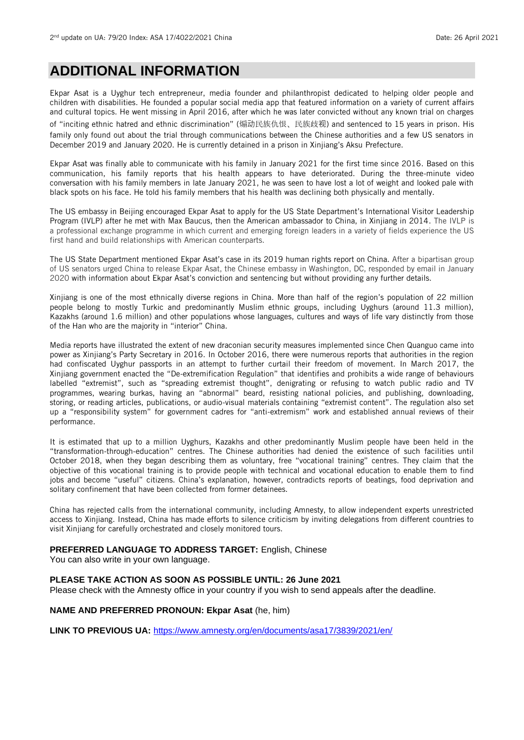## **ADDITIONAL INFORMATION**

Ekpar Asat is a Uyghur tech entrepreneur, media founder and philanthropist dedicated to helping older people and children with disabilities. He founded a popular social media app that featured information on a variety of current affairs and cultural topics. He went missing in April 2016, after which he was later convicted without any known trial on charges of "inciting ethnic hatred and ethnic discrimination" (煽动民族仇恨、民族歧视) and sentenced to 15 years in prison. His family only found out about the trial through communications between the Chinese authorities and a few US senators in December 2019 and January 2020. He is currently detained in a prison in Xinjiang's Aksu Prefecture.

Ekpar Asat was finally able to communicate with his family in January 2021 for the first time since 2016. Based on this communication, his family reports that his health appears to have deteriorated. During the three-minute video conversation with his family members in late January 2021, he was seen to have lost a lot of weight and looked pale with black spots on his face. He told his family members that his health was declining both physically and mentally.

The US embassy in Beijing encouraged Ekpar Asat to apply for the US State Department's International Visitor Leadership Program (IVLP) after he met with Max Baucus, then the American ambassador to China, in Xinjiang in 2014. The IVLP is a professional exchange programme in which current and emerging foreign leaders in a variety of fields experience the US first hand and build relationships with American counterparts.

The US State Department mentioned Ekpar Asat's case in its 2019 human rights report on China. After a bipartisan group of US senators urged China to release Ekpar Asat, the Chinese embassy in Washington, DC, responded by email in January 2020 with information about Ekpar Asat's conviction and sentencing but without providing any further details.

Xinjiang is one of the most ethnically diverse regions in China. More than half of the region's population of 22 million people belong to mostly Turkic and predominantly Muslim ethnic groups, including Uyghurs (around 11.3 million), Kazakhs (around 1.6 million) and other populations whose languages, cultures and ways of life vary distinctly from those of the Han who are the majority in "interior" China.

Media reports have illustrated the extent of new draconian security measures implemented since Chen Quanguo came into power as Xinjiang's Party Secretary in 2016. In October 2016, there were numerous reports that authorities in the region had confiscated Uyghur passports in an attempt to further curtail their freedom of movement. In March 2017, the Xinjiang government enacted the "De-extremification Regulation" that identifies and prohibits a wide range of behaviours labelled "extremist", such as "spreading extremist thought", denigrating or refusing to watch public radio and TV programmes, wearing burkas, having an "abnormal" beard, resisting national policies, and publishing, downloading, storing, or reading articles, publications, or audio-visual materials containing "extremist content". The regulation also set up a "responsibility system" for government cadres for "anti-extremism" work and established annual reviews of their performance.

It is estimated that up to a million Uyghurs, Kazakhs and other predominantly Muslim people have been held in the "transformation-through-education" centres. The Chinese authorities had denied the existence of such facilities until October 2018, when they began describing them as voluntary, free "vocational training" centres. They claim that the objective of this vocational training is to provide people with technical and vocational education to enable them to find jobs and become "useful" citizens. China's explanation, however, contradicts reports of beatings, food deprivation and solitary confinement that have been collected from former detainees.

China has rejected calls from the international community, including Amnesty, to allow independent experts unrestricted access to Xinjiang. Instead, China has made efforts to silence criticism by inviting delegations from different countries to visit Xinjiang for carefully orchestrated and closely monitored tours.

## **PREFERRED LANGUAGE TO ADDRESS TARGET:** English, Chinese

You can also write in your own language.

### **PLEASE TAKE ACTION AS SOON AS POSSIBLE UNTIL: 26 June 2021**

Please check with the Amnesty office in your country if you wish to send appeals after the deadline.

### **NAME AND PREFERRED PRONOUN: Ekpar Asat** (he, him)

**LINK TO PREVIOUS UA:** <https://www.amnesty.org/en/documents/asa17/3839/2021/en/>